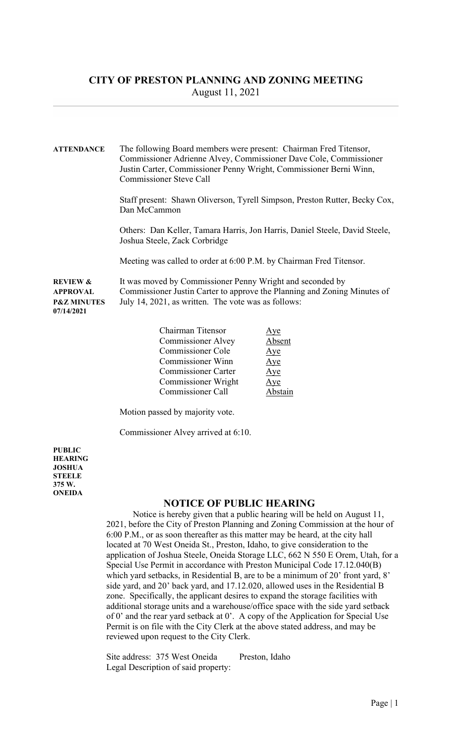## CITY OF PRESTON PLANNING AND ZONING MEETING August 11, 2021

ATTENDANCE The following Board members were present: Chairman Fred Titensor, Commissioner Adrienne Alvey, Commissioner Dave Cole, Commissioner Justin Carter, Commissioner Penny Wright, Commissioner Berni Winn, Commissioner Steve Call

> Staff present: Shawn Oliverson, Tyrell Simpson, Preston Rutter, Becky Cox, Dan McCammon

 Others: Dan Keller, Tamara Harris, Jon Harris, Daniel Steele, David Steele, Joshua Steele, Zack Corbridge

Meeting was called to order at 6:00 P.M. by Chairman Fred Titensor.

REVIEW & It was moved by Commissioner Penny Wright and seconded by APPROVAL Commissioner Justin Carter to approve the Planning and Zoning Minutes of **P&Z MINUTES** July 14, 2021, as written. The vote was as follows: 07/14/2021

| Chairman Titensor          | <u>Aye</u>  |
|----------------------------|-------------|
| <b>Commissioner Alvey</b>  | Absent      |
| Commissioner Cole          | $\Delta$ ye |
| <b>Commissioner Winn</b>   | Aye         |
| <b>Commissioner Carter</b> | Aye         |
| Commissioner Wright        | Aye         |
| <b>Commissioner Call</b>   |             |

Motion passed by majority vote.

Commissioner Alvey arrived at 6:10.

PUBLIC HEARING JOSHUA **STEELE** 375 W. **ONEIDA** 

## NOTICE OF PUBLIC HEARING

 Notice is hereby given that a public hearing will be held on August 11, 2021, before the City of Preston Planning and Zoning Commission at the hour of 6:00 P.M., or as soon thereafter as this matter may be heard, at the city hall located at 70 West Oneida St., Preston, Idaho, to give consideration to the application of Joshua Steele, Oneida Storage LLC, 662 N 550 E Orem, Utah, for a Special Use Permit in accordance with Preston Municipal Code 17.12.040(B) which yard setbacks, in Residential B, are to be a minimum of 20' front yard, 8' side yard, and 20' back yard, and 17.12.020, allowed uses in the Residential B zone. Specifically, the applicant desires to expand the storage facilities with additional storage units and a warehouse/office space with the side yard setback of 0' and the rear yard setback at 0'. A copy of the Application for Special Use Permit is on file with the City Clerk at the above stated address, and may be reviewed upon request to the City Clerk.

Site address: 375 West Oneida Preston, Idaho Legal Description of said property: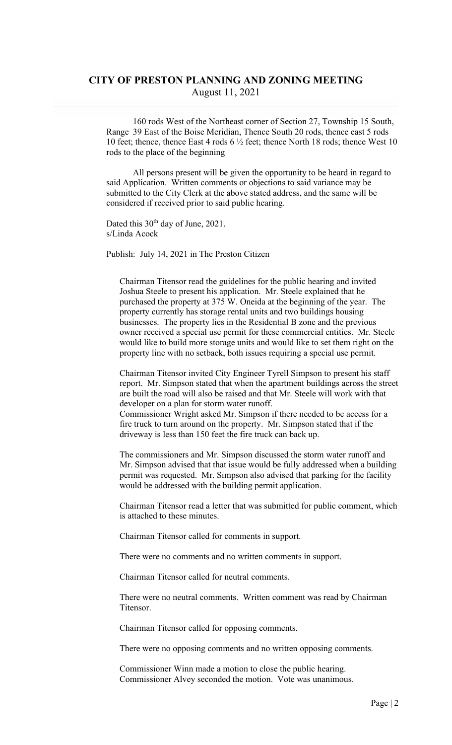## CITY OF PRESTON PLANNING AND ZONING MEETING August 11, 2021

 160 rods West of the Northeast corner of Section 27, Township 15 South, Range 39 East of the Boise Meridian, Thence South 20 rods, thence east 5 rods 10 feet; thence, thence East 4 rods 6 ½ feet; thence North 18 rods; thence West 10 rods to the place of the beginning

 All persons present will be given the opportunity to be heard in regard to said Application. Written comments or objections to said variance may be submitted to the City Clerk at the above stated address, and the same will be considered if received prior to said public hearing.

Dated this 30<sup>th</sup> day of June, 2021. s/Linda Acock

Publish: July 14, 2021 in The Preston Citizen

Chairman Titensor read the guidelines for the public hearing and invited Joshua Steele to present his application. Mr. Steele explained that he purchased the property at 375 W. Oneida at the beginning of the year. The property currently has storage rental units and two buildings housing businesses. The property lies in the Residential B zone and the previous owner received a special use permit for these commercial entities. Mr. Steele would like to build more storage units and would like to set them right on the property line with no setback, both issues requiring a special use permit.

 Chairman Titensor invited City Engineer Tyrell Simpson to present his staff report. Mr. Simpson stated that when the apartment buildings across the street are built the road will also be raised and that Mr. Steele will work with that developer on a plan for storm water runoff. Commissioner Wright asked Mr. Simpson if there needed to be access for a fire truck to turn around on the property. Mr. Simpson stated that if the

driveway is less than 150 feet the fire truck can back up.

 The commissioners and Mr. Simpson discussed the storm water runoff and Mr. Simpson advised that that issue would be fully addressed when a building permit was requested. Mr. Simpson also advised that parking for the facility would be addressed with the building permit application.

 Chairman Titensor read a letter that was submitted for public comment, which is attached to these minutes.

Chairman Titensor called for comments in support.

There were no comments and no written comments in support.

Chairman Titensor called for neutral comments.

 There were no neutral comments. Written comment was read by Chairman Titensor.

Chairman Titensor called for opposing comments.

There were no opposing comments and no written opposing comments.

 Commissioner Winn made a motion to close the public hearing. Commissioner Alvey seconded the motion. Vote was unanimous.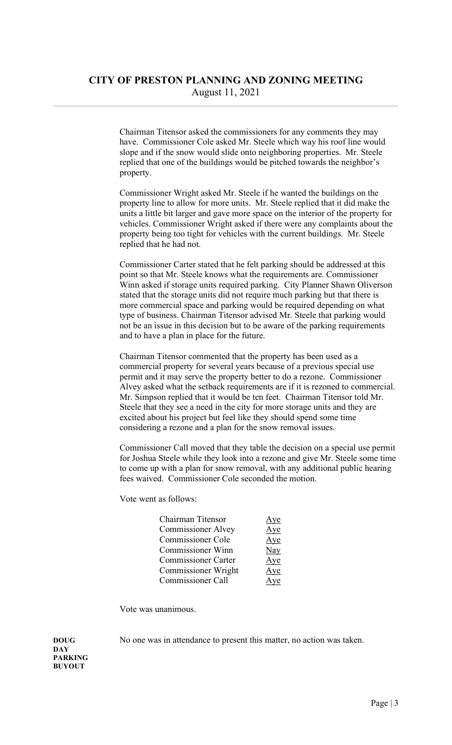Chairman Titensor asked the commissioners for any comments they may have. Commissioner Cole asked Mr. Steele which way his roof line would slope and if the snow would slide onto neighboring properties. Mr. Steele replied that one of the buildings would be pitched towards the neighbor's property.

 Commissioner Wright asked Mr. Steele if he wanted the buildings on the property line to allow for more units. Mr. Steele replied that it did make the units a little bit larger and gave more space on the interior of the property for vehicles. Commissioner Wright asked if there were any complaints about the property being too tight for vehicles with the current buildings. Mr. Steele replied that he had not.

 Commissioner Carter stated that he felt parking should be addressed at this point so that Mr. Steele knows what the requirements are. Commissioner Winn asked if storage units required parking. City Planner Shawn Oliverson stated that the storage units did not require much parking but that there is more commercial space and parking would be required depending on what type of business. Chairman Titensor advised Mr. Steele that parking would not be an issue in this decision but to be aware of the parking requirements and to have a plan in place for the future.

 Chairman Titensor commented that the property has been used as a commercial property for several years because of a previous special use permit and it may serve the property better to do a rezone. Commissioner Alvey asked what the setback requirements are if it is rezoned to commercial. Mr. Simpson replied that it would be ten feet. Chairman Titensor told Mr. Steele that they see a need in the city for more storage units and they are excited about his project but feel like they should spend some time considering a rezone and a plan for the snow removal issues.

 Commissioner Call moved that they table the decision on a special use permit for Joshua Steele while they look into a rezone and give Mr. Steele some time to come up with a plan for snow removal, with any additional public hearing fees waived. Commissioner Cole seconded the motion.

Vote went as follows:

| Chairman Titensor          | <u>Aye</u> |
|----------------------------|------------|
| <b>Commissioner Alvey</b>  | Aye        |
| <b>Commissioner Cole</b>   | Aye        |
| <b>Commissioner Winn</b>   | <b>Nay</b> |
| <b>Commissioner Carter</b> | Aye        |
| Commissioner Wright        | Aye        |
| <b>Commissioner Call</b>   | Ave        |

Vote was unanimous.

DOUG No one was in attendance to present this matter, no action was taken.

**DAY** PARKING BUYOUT